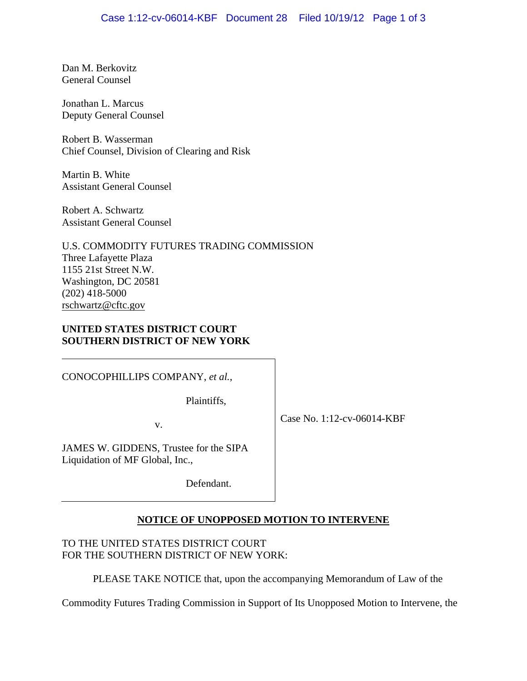Dan M. Berkovitz General Counsel

Jonathan L. Marcus Deputy General Counsel

Robert B. Wasserman Chief Counsel, Division of Clearing and Risk

Martin B. White Assistant General Counsel

Robert A. Schwartz Assistant General Counsel

U.S. COMMODITY FUTURES TRADING COMMISSION Three Lafayette Plaza 1155 21st Street N.W. Washington, DC 20581 (202) 418-5000 rschwartz@cftc.gov

### **UNITED STATES DISTRICT COURT SOUTHERN DISTRICT OF NEW YORK**

CONOCOPHILLIPS COMPANY, *et al.*,

Plaintiffs,

v.

Case No. 1:12-cv-06014-KBF

JAMES W. GIDDENS, Trustee for the SIPA Liquidation of MF Global, Inc.,

Defendant.

## **NOTICE OF UNOPPOSED MOTION TO INTERVENE**

TO THE UNITED STATES DISTRICT COURT FOR THE SOUTHERN DISTRICT OF NEW YORK:

PLEASE TAKE NOTICE that, upon the accompanying Memorandum of Law of the

Commodity Futures Trading Commission in Support of Its Unopposed Motion to Intervene, the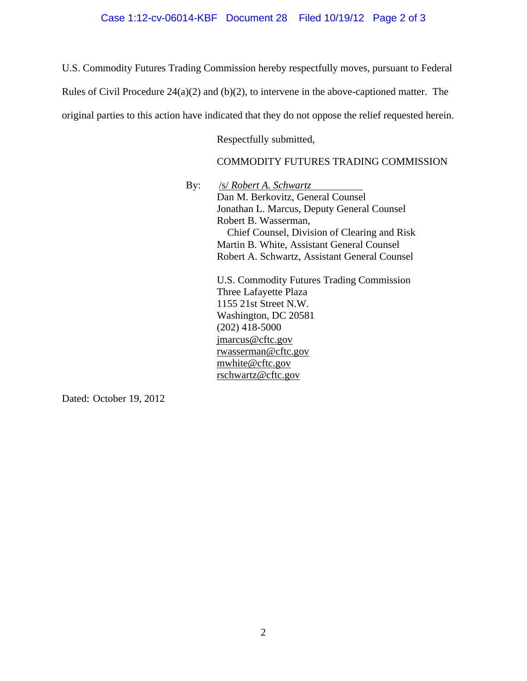#### Case 1:12-cv-06014-KBF Document 28 Filed 10/19/12 Page 2 of 3

U.S. Commodity Futures Trading Commission hereby respectfully moves, pursuant to Federal

Rules of Civil Procedure 24(a)(2) and (b)(2), to intervene in the above-captioned matter. The

original parties to this action have indicated that they do not oppose the relief requested herein.

Respectfully submitted,

#### COMMODITY FUTURES TRADING COMMISSION

By: /s/ *Robert A. Schwartz*

Dan M. Berkovitz, General Counsel Jonathan L. Marcus, Deputy General Counsel Robert B. Wasserman, Chief Counsel, Division of Clearing and Risk Martin B. White, Assistant General Counsel Robert A. Schwartz, Assistant General Counsel U.S. Commodity Futures Trading Commission

Three Lafayette Plaza 1155 21st Street N.W. Washington, DC 20581 (202) 418-5000 jmarcus@cftc.gov rwasserman@cftc.gov mwhite@cftc.gov rschwartz@cftc.gov

Dated: October 19, 2012